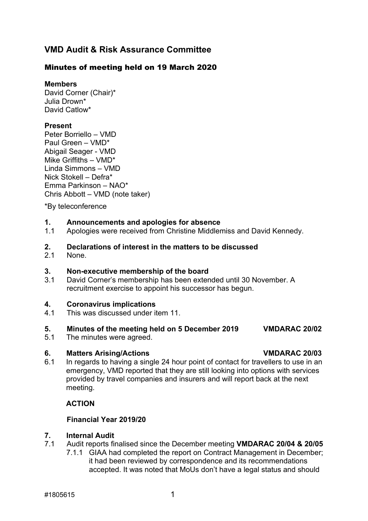# **VMD Audit & Risk Assurance Committee**

# Minutes of meeting held on 19 March 2020

**Members**

David Corner (Chair)\* Julia Drown\* David Catlow\*

# **Present**

Peter Borriello – VMD Paul Green – VMD\* Abigail Seager - VMD Mike Griffiths – VMD\* Linda Simmons – VMD Nick Stokell – Defra\* Emma Parkinson – NAO\* Chris Abbott – VMD (note taker)

\*By teleconference

# **1. Announcements and apologies for absence**

Apologies were received from Christine Middlemiss and David Kennedy.

# **2. Declarations of interest in the matters to be discussed**

None.

### **3. Non-executive membership of the board**

3.1 David Corner's membership has been extended until 30 November. A recruitment exercise to appoint his successor has begun.

# **4. Coronavirus implications**

4.1 This was discussed under item 11.

# **5. Minutes of the meeting held on 5 December 2019 VMDARAC 20/02**

5.1 The minutes were agreed.

# **6. Matters Arising/Actions VMDARAC 20/03**

6.1 In regards to having a single 24 hour point of contact for travellers to use in an emergency, VMD reported that they are still looking into options with services provided by travel companies and insurers and will report back at the next meeting.

# **ACTION**

# **Financial Year 2019/20**

# **7. Internal Audit**

- 7.1 Audit reports finalised since the December meeting **VMDARAC 20/04 & 20/05** 
	- 7.1.1 GIAA had completed the report on Contract Management in December; it had been reviewed by correspondence and its recommendations accepted. It was noted that MoUs don't have a legal status and should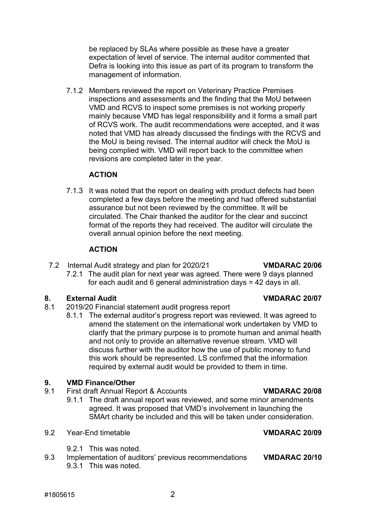be replaced by SLAs where possible as these have a greater expectation of level of service. The internal auditor commented that Defra is looking into this issue as part of its program to transform the management of information.

7.1.2 Members reviewed the report on Veterinary Practice Premises inspections and assessments and the finding that the MoU between VMD and RCVS to inspect some premises is not working properly mainly because VMD has legal responsibility and it forms a small part of RCVS work. The audit recommendations were accepted, and it was noted that VMD has already discussed the findings with the RCVS and the MoU is being revised. The internal auditor will check the MoU is being complied with. VMD will report back to the committee when revisions are completed later in the year.

### **ACTION**

7.1.3 It was noted that the report on dealing with product defects had been completed a few days before the meeting and had offered substantial assurance but not been reviewed by the committee. It will be circulated. The Chair thanked the auditor for the clear and succinct format of the reports they had received. The auditor will circulate the overall annual opinion before the next meeting.

# **ACTION**

7.2 Internal Audit strategy and plan for 2020/21 **VMDARAC 20/06** 7.2.1 The audit plan for next year was agreed. There were 9 days planned for each audit and 6 general administration days = 42 days in all.

- **8. External Audit External Audit External Audit External Audit VMDARAC 20/07**<br>8.1 **2019/20 Financial statement audit progress report** 2019/20 Financial statement audit progress report
	- 8.1.1 The external auditor's progress report was reviewed. It was agreed to amend the statement on the international work undertaken by VMD to clarify that the primary purpose is to promote human and animal health and not only to provide an alternative revenue stream. VMD will discuss further with the auditor how the use of public money to fund this work should be represented. LS confirmed that the information required by external audit would be provided to them in time.

# **9. VMD Finance/Other**

- 9.1 First draft Annual Report & Accounts **VMDARAC 20/08**
	- 9.1.1 The draft annual report was reviewed, and some minor amendments agreed. It was proposed that VMD's involvement in launching the SMArt charity be included and this will be taken under consideration.
- 9.2 Year-End timetable **VMDARAC 20/09**
	- 9.2.1 This was noted.
- 9.3 Implementation of auditors' previous recommendations **VMDARAC 20/10** 9.3.1 This was noted.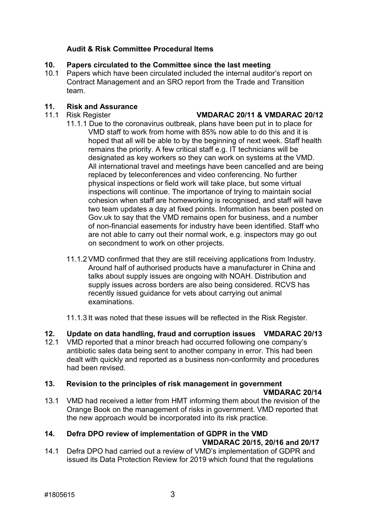# **Audit & Risk Committee Procedural Items**

# **10. Papers circulated to the Committee since the last meeting**

Papers which have been circulated included the internal auditor's report on Contract Management and an SRO report from the Trade and Transition team.

# **11***.* **Risk and Assurance**

### 11.1 Risk Register **VMDARAC 20/11 & VMDARAC 20/12**

- 11.1.1 Due to the coronavirus outbreak, plans have been put in to place for VMD staff to work from home with 85% now able to do this and it is hoped that all will be able to by the beginning of next week. Staff health remains the priority. A few critical staff e.g. IT technicians will be designated as key workers so they can work on systems at the VMD. All international travel and meetings have been cancelled and are being replaced by teleconferences and video conferencing. No further physical inspections or field work will take place, but some virtual inspections will continue. The importance of trying to maintain social cohesion when staff are homeworking is recognised, and staff will have two team updates a day at fixed points. Information has been posted on Gov.uk to say that the VMD remains open for business, and a number of non-financial easements for industry have been identified. Staff who are not able to carry out their normal work, e.g. inspectors may go out on secondment to work on other projects.
- 11.1.2 VMD confirmed that they are still receiving applications from Industry. Around half of authorised products have a manufacturer in China and talks about supply issues are ongoing with NOAH. Distribution and supply issues across borders are also being considered. RCVS has recently issued guidance for vets about carrying out animal examinations.

11.1.3 It was noted that these issues will be reflected in the Risk Register.

- **12. Update on data handling, fraud and corruption issues VMDARAC 20/13**
- 12.1 VMD reported that a minor breach had occurred following one company's antibiotic sales data being sent to another company in error. This had been dealt with quickly and reported as a business non-conformity and procedures had been revised.

# **13. Revision to the principles of risk management in government**

# **VMDARAC 20/14**

13.1 VMD had received a letter from HMT informing them about the revision of the Orange Book on the management of risks in government. VMD reported that the new approach would be incorporated into its risk practice.

# **14. Defra DPO review of implementation of GDPR in the VMD**

# **VMDARAC 20/15, 20/16 and 20/17**

14.1 Defra DPO had carried out a review of VMD's implementation of GDPR and issued its Data Protection Review for 2019 which found that the regulations